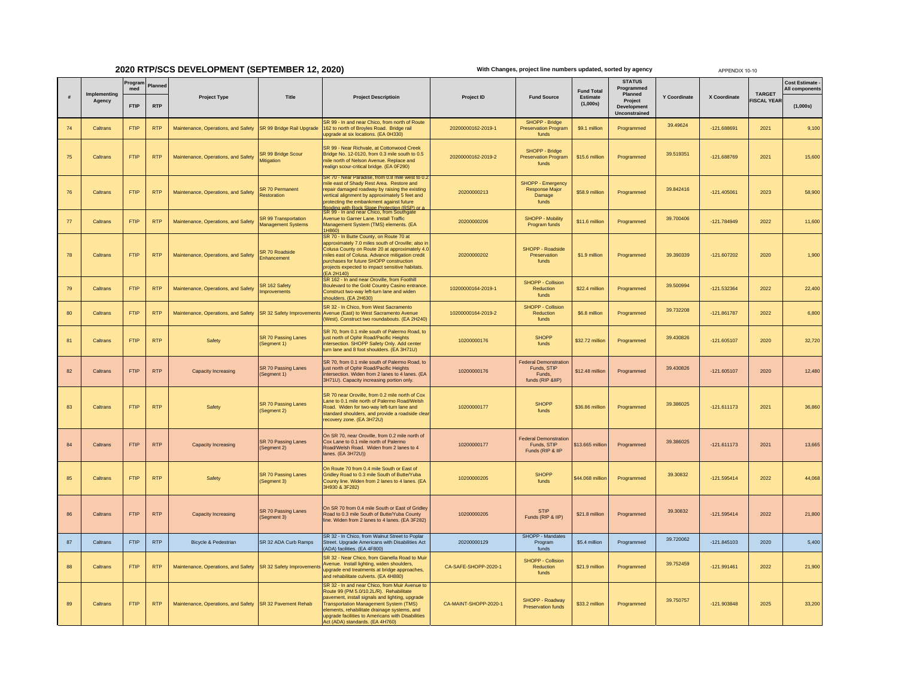## **2020 RTP/SCS DEVELOPMENT (SEPTEMBER 12, 2020)**

**With Changes, project line numbers updated, sorted by agency**

APPENDIX 10-10

|    | Implementing<br>Agency | Program<br>med | Planned    |                                                               |                                                   |                                                                                                                                                                                                                                                                                                                                      |                       |                                                                           |                                           | <b>STATUS</b><br>Programmed                               |                     |               |                                    | Cost Estimate -<br>Il components |
|----|------------------------|----------------|------------|---------------------------------------------------------------|---------------------------------------------------|--------------------------------------------------------------------------------------------------------------------------------------------------------------------------------------------------------------------------------------------------------------------------------------------------------------------------------------|-----------------------|---------------------------------------------------------------------------|-------------------------------------------|-----------------------------------------------------------|---------------------|---------------|------------------------------------|----------------------------------|
|    |                        | <b>FTIP</b>    | <b>RTP</b> | <b>Project Type</b>                                           | Title                                             | <b>Project Descriptioin</b>                                                                                                                                                                                                                                                                                                          | Project ID            | <b>Fund Source</b>                                                        | <b>Fund Total</b><br>Estimate<br>(1,000s) | Planned<br>Project<br><b>Development</b><br>Unconstrained | <b>Y Coordinate</b> | X Coordinate  | <b>TARGET</b><br><b>ISCAL YEAR</b> | (1,000s)                         |
| 74 | Caltrans               | <b>FTIP</b>    | <b>RTP</b> | Maintenance, Operations, and Safety                           | SR 99 Bridge Rail Upgrade                         | SR 99 - In and near Chico, from north of Route<br>62 to north of Broyles Road. Bridge rail<br>upgrade at six locations. (EA 0H330)                                                                                                                                                                                                   | 20200000162-2019-1    | SHOPP - Bridge<br><b>Preservation Program</b><br>funds                    | \$9.1 million                             | Programmed                                                | 39.49624            | -121.688691   | 2021                               | 9,100                            |
| 75 | Caltrans               | <b>FTIP</b>    | <b>RTP</b> | Maintenance, Operations, and Safety                           | SR 99 Bridge Scour<br><b>Mitigation</b>           | SR 99 - Near Richvale, at Cottonwood Creek<br>Bridge No. 12-0120, from 0.3 mile south to 0.5<br>mile north of Nelson Avenue. Replace and<br>realign scour-critical bridge. (EA 0F290)                                                                                                                                                | 20200000162-2019-2    | SHOPP - Bridge<br><b>Preservation Program</b><br>funds                    | \$15.6 million                            | Programmed                                                | 39.519351           | -121.688769   | 2021                               | 15,600                           |
| 76 | Caltrans               | <b>FTIP</b>    | <b>RTP</b> | Maintenance, Operations, and Safety                           | SR 70 Permanent<br>Restoration                    | mile east of Shady Rest Area. Restore and<br>repair damaged roadway by raising the existing<br>vertical alignment by approximately 5 feet and<br>protecting the embankment against future<br>ooding with Rock Slope Protection (RSP) or                                                                                              | 20200000213           | SHOPP - Emergency<br><b>Response Major</b><br>Damage<br>funds             | \$58.9 million                            | Programmed                                                | 39.842416           | 121.405061    | 2023                               | 58,900                           |
| 77 | Caltrans               | <b>FTIP</b>    | <b>RTP</b> | Maintenance, Operations, and Safety                           | SR 99 Transportation<br><b>Management Systems</b> | SR 99 - In and near Chico, from Southgate<br>Avenue to Garner Lane, Install Traffic<br>Management System (TMS) elements. (EA<br>1H860)                                                                                                                                                                                               | 20200000206           | <b>SHOPP - Mobility</b><br>Program funds                                  | \$11.6 million                            | Programmed                                                | 39.700406           | -121.784949   | 2022                               | 11,600                           |
| 78 | Caltrans               | <b>FTIP</b>    | <b>RTP</b> | Maintenance, Operations, and Safety                           | SR 70 Roadside<br>hancement                       | SR 70 - In Butte County, on Route 70 at<br>approximately 7.0 miles south of Oroville; also in<br>Colusa County on Route 20 at approximately 4.0<br>miles east of Colusa. Advance mitigation credit<br>purchases for future SHOPP construction<br>projects expected to impact sensitive habitats.<br>(EA 2H140)                       | 20200000202           | SHOPP - Roadside<br>Preservation<br>funds                                 | \$1.9 million                             | Programmed                                                | 39.390339           | $-121.607202$ | 2020                               | 1,900                            |
| 79 | Caltrans               | <b>FTIP</b>    | <b>RTP</b> | Maintenance, Operations, and Safety                           | SR 162 Safety<br>nprovements                      | SR 162 - In and near Oroville, from Foothill<br>Boulevard to the Gold Country Casino entrance.<br>Construct two-way left-turn lane and widen<br>shoulders. (EA 2H630)                                                                                                                                                                | 10200000164-2019-1    | SHOPP - Collision<br>Reduction<br>funds                                   | \$22.4 million                            | Programmed                                                | 39.500994           | $-121.532364$ | 2022                               | 22,400                           |
| 80 | Caltrans               | <b>FTIP</b>    | <b>RTP</b> | Maintenance, Operations, and Safety                           | SR 32 Safety Improvement                          | SR 32 - In Chico, from West Sacramento<br>Avenue (East) to West Sacramento Avenue<br>(West). Construct two roundabouts. (EA 2H240)                                                                                                                                                                                                   | 10200000164-2019-2    | SHOPP - Collision<br>Reduction<br>funds                                   | \$6.8 million                             | Programmed                                                | 39.732208           | -121.861787   | 2022                               | 6,800                            |
| 81 | Caltrans               | <b>FTIP</b>    | <b>RTP</b> | Safety                                                        | <b>SR 70 Passing Lanes</b><br>(Segment 1)         | SR 70, from 0.1 mile south of Palermo Road, to<br>just north of Ophir Road/Pacific Heights<br>intersection. SHOPP Safety Only. Add center<br>turn lane and 8 foot shoulders. (EA 3H71U)                                                                                                                                              | 10200000176           | <b>SHOPP</b><br>funds                                                     | \$32.72 million                           | Programmed                                                | 39.430826           | $-121.605107$ | 2020                               | 32,720                           |
| 82 | Caltrans               | <b>FTIP</b>    | <b>RTP</b> | Capacity Increasing                                           | SR 70 Passing Lanes<br>(Segment 1)                | SR 70, from 0.1 mile south of Palermo Road, to<br>just north of Ophir Road/Pacific Heights<br>intersection. Widen from 2 lanes to 4 lanes. (EA<br>3H71U). Capacity increasing portion only.                                                                                                                                          | 10200000176           | <b>Federal Demonstration</b><br>Funds, STIP<br>Funds.<br>funds (RIP &IIP) | \$12.48 million                           | Programmed                                                | 39.430826           | $-121.605107$ | 2020                               | 12,480                           |
| 83 | Caltrans               | FTIP           | <b>RTP</b> | Safety                                                        | <b>SR 70 Passing Lanes</b><br>(Segment 2)         | SR 70 near Oroville, from 0.2 mile north of Cox<br>Lane to 0.1 mile north of Palermo Road/Welsh<br>Road. Widen for two-way left-turn lane and<br>standard shoulders, and provide a roadside clear<br>recovery zone. (EA 3H72U)                                                                                                       | 10200000177           | <b>SHOPP</b><br>funds                                                     | \$36.86 million                           | Programmed                                                | 39.386025           | $-121.611173$ | 2021                               | 36,860                           |
| 84 | Caltrans               | FTIP           | <b>RTP</b> | Capacity Increasing                                           | SR 70 Passing Lanes<br>(Segment 2)                | On SR 70, near Oroville, from 0.2 mile north of<br>Cox Lane to 0.1 mile north of Palermo<br>Road/Welsh Road. Widen from 2 lanes to 4<br>lanes. (EA 3H72U))                                                                                                                                                                           | 10200000177           | <b>Federal Demonstration</b><br>Funds, STIP<br>Funds (RIP & IIP           | \$13.665 million                          | Programmed                                                | 39.386025           | $-121.611173$ | 2021                               | 13,665                           |
| 85 | Caltrans               | <b>FTIP</b>    | <b>RTP</b> | Safety                                                        | SR 70 Passing Lanes<br>(Segment 3)                | On Route 70 from 0.4 mile South or East of<br>Gridley Road to 0.3 mile South of Butte/Yuba<br>County line. Widen from 2 lanes to 4 lanes. (EA<br>3H930 & 3F282)                                                                                                                                                                      | 10200000205           | <b>SHOPP</b><br>funds                                                     | \$44.068 million                          | Programmed                                                | 39.30832            | $-121.595414$ | 2022                               | 44,068                           |
| 86 | Caltrans               | <b>FTIP</b>    | <b>RTP</b> | Capacity Increasing                                           | SR 70 Passing Lanes<br>(Segment 3)                | On SR 70 from 0.4 mile South or East of Gridley<br>Road to 0.3 mile South of Butte/Yuba County<br>line. Widen from 2 lanes to 4 lanes. (EA 3F282)                                                                                                                                                                                    | 10200000205           | <b>STIP</b><br>Funds (RIP & IIP)                                          | \$21.8 million                            | Programmed                                                | 39.30832            | $-121.595414$ | 2022                               | 21,800                           |
| 87 | Caltrans               | <b>FTIP</b>    | <b>RTP</b> | Bicycle & Pedestrian                                          | SR 32 ADA Curb Ramps                              | SR 32 - In Chico, from Walnut Street to Poplar<br>Street. Upgrade Americans with Disabilities Act<br>(ADA) facilities. (EA 4F800)                                                                                                                                                                                                    | 20200000129           | SHOPP - Mandates<br>Program<br>funds                                      | \$5.4 million                             | Programmed                                                | 39.720062           | $-121.845103$ | 2020                               | 5,400                            |
| 88 | Caltrans               | <b>FTIP</b>    | <b>RTP</b> | Maintenance, Operations, and Safety SR 32 Safety Improvements |                                                   | SR 32 - Near Chico, from Gianella Road to Mui<br>Avenue. Install lighting, widen shoulders,<br>upgrade end treatments at bridge approaches<br>and rehabilitate culverts. (EA 4H880)                                                                                                                                                  | CA-SAFE-SHOPP-2020-1  | SHOPP - Collision<br>Reduction<br>funds                                   | \$21.9 million                            | Programmed                                                | 39.752459           | $-121.991461$ | 2022                               | 21,900                           |
| 89 | Caltrans               | <b>FTIP</b>    | <b>RTP</b> | Maintenance, Operations, and Safety                           | <b>SR 32 Pavement Rehab</b>                       | SR 32 - In and near Chico, from Muir Avenue to<br>Route 99 (PM 5.0/10.2L/R). Rehabilitate<br>pavement, install signals and lighting, upgrade<br><b>Fransportation Management System (TMS)</b><br>lements, rehabilitate drainage systems, and<br>upgrade facilities to Americans with Disabilities<br>Act (ADA) standards. (EA 4H760) | CA-MAINT-SHOPP-2020-1 | SHOPP - Roadway<br>Preservation funds                                     | \$33.2 million                            | Programmed                                                | 39.750757           | $-121.903848$ | 2025                               | 33,200                           |